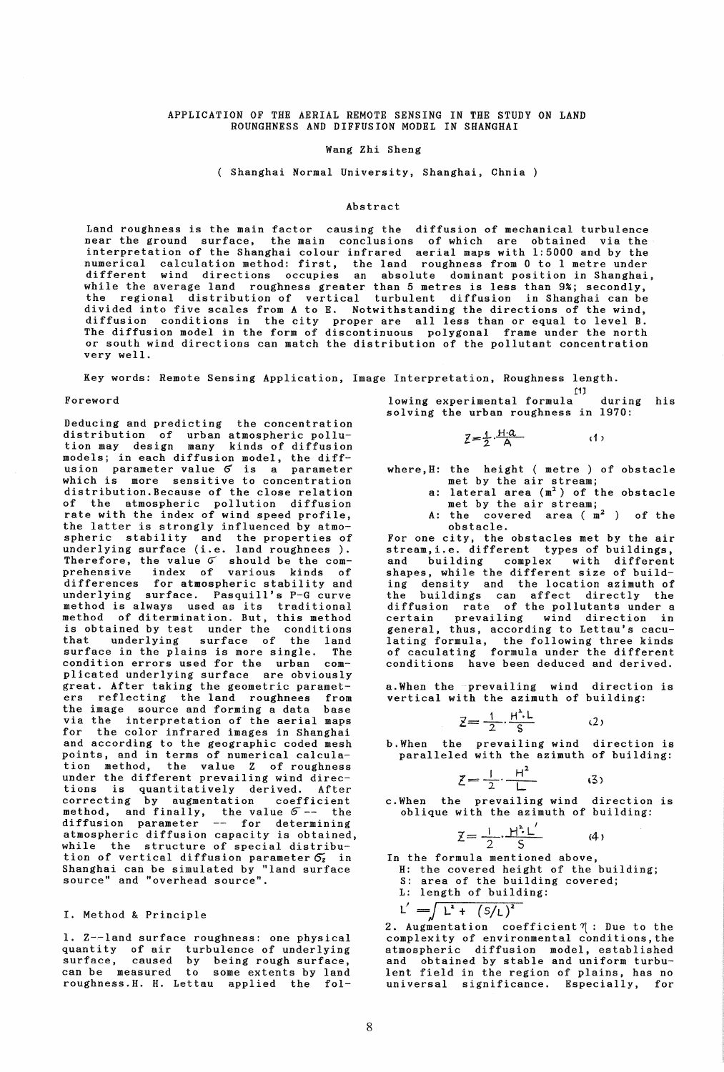### APPLICATION OF THE AERIAL REMOTE SENSING IN THE STUDY ON LAND ROUNGHNESS AND DIFFUSION MODEL IN SHANGHAI

## Wang Zhi Sheng

( Shanghai Normal University, Shanghai, Chnia )

## Abstract

Land roughness is the main factor causing the diffusion of mechanical turbulence near the ground surface, the main conclusions of which are obtained via the interpretation of the Shanghai colour infrared aerial maps with 1:5000 and by the numerical calculation method: first, the land roughness from 0 to 1 metre under different wind directions occupies an absolute dominant position in Shanghai, while the average land roughness greater than 5 metres is less than 9%; secondly, the regional distribution of vertical turbulent diffusion in Shanghai can be divided into five scales from A to E. Notwithstanding the directions of the wind, diffusion conditions in the city proper are all less than or equal to level B. The diffusion model in the form of discontinuous polygonal frame under the north or south wind directions can match the distribution of the pollutant concentration very well.

Key words: Remote Sensing Application, Image Interpretation, Roughness length.

Deducing and predicting the concentration distribution of urban atmospheric pollution may design many kinds of diffusion models; in each diffusion model, the diffusion parameter value Q is a parameter which is more sensitive to concentration distribution. Because of the close relation of the atmospheric pollution diffusion rate with the index of wind speed profile, the latter is strongly influenced by atmospheric stability and the properties of underlying surface (i.e. land roughnees ). Therefore, the value  $\sigma$  should be the comprehensive index of various kinds of differences for atmospheric stability and underlying surface. Pasquill's P-G curve method is always used as its traditional method of ditermination. But, this method is obtained by test under the conditions that underlying surface of the land surface in the plains is more single. The condition errors used for the urban complicated underlying surface are obviously great. After taking the geometric parameters reflecting the land roughnees from the image source and forming a data base via the interpretation of the aerial maps for the color infrared images in Shanghai and according to the geographic coded mesh points, and in terms of numerical calculation method, the value Z of roughness under the different prevailing wind directions is quantitatively derived. After correcting by augmentation coefficient method, and finally, the value  $\sigma$  -- the diffusion parameter -- for determining atmospheric diffusion capacity is obtained, while the structure of special distribution of vertical diffusion parameter  $\sigma_z$  in Shanghai can be simulated by "land surface source" and "overhead source".

# I. Method & Principle

1. Z-~land surface roughness: one physical quantity of air turbulence of underlying surface, caused by being rough surface, can be measured to some extents by land roughness.H. H. Lettau applied the fol-

til Foreword lowing experimental formula during his solving the urban roughness in 1970:

$$
Z = \frac{1}{2} \cdot \frac{H \cdot \alpha}{A} \tag{1}
$$

where,H: the height ( metre) of obstacle met by the air stream;

- a: lateral area  $(m<sup>2</sup>)$  of the obstacle met by the air stream;
- A: the covered area  $(m^2)$  of the obstacle.

For one city, the obstacles met by the air stream,i.e. different types of buildings, and building complex with different shapes, while the different size of building density and the location azimuth of the buildings can affect directly the diffusion rate of the pollutants under a certain prevailing wind direction in general, thus, according to Lettau's caculating formula, the following three kinds of caculating formula under the different conditions have been deduced and derived.

a.When the prevailing wind direction is vertical with the azimuth of building:

$$
\vec{z} = \frac{1}{2} \cdot \frac{H^2 L}{S} \qquad (2)
$$

b.When the prevailing wind direction is paralleled with the azimuth of building:

$$
\zeta = \frac{1}{2} \cdot \frac{H^2}{L} \tag{3}
$$

c.When the prevailing wind direction is oblique with the azimuth of building:

$$
\mathbf{Z} = \frac{1}{2} \cdot \frac{\mathbf{H}^2 \cdot \mathbf{L}'}{S} \tag{4}
$$

In the formula mentioned above,

H: the covered height of the building;

S: area of the building covered;

L: length of building:

$$
L' = \int L^2 + (S/L)^2
$$

2. Augmentation coefficient  $\eta$ : Due to the complexity of environmental conditions, the atmospheric diffusion model, established and obtained by stable and uniform turbulent field in the region of plains, has no universal significance. Especially, for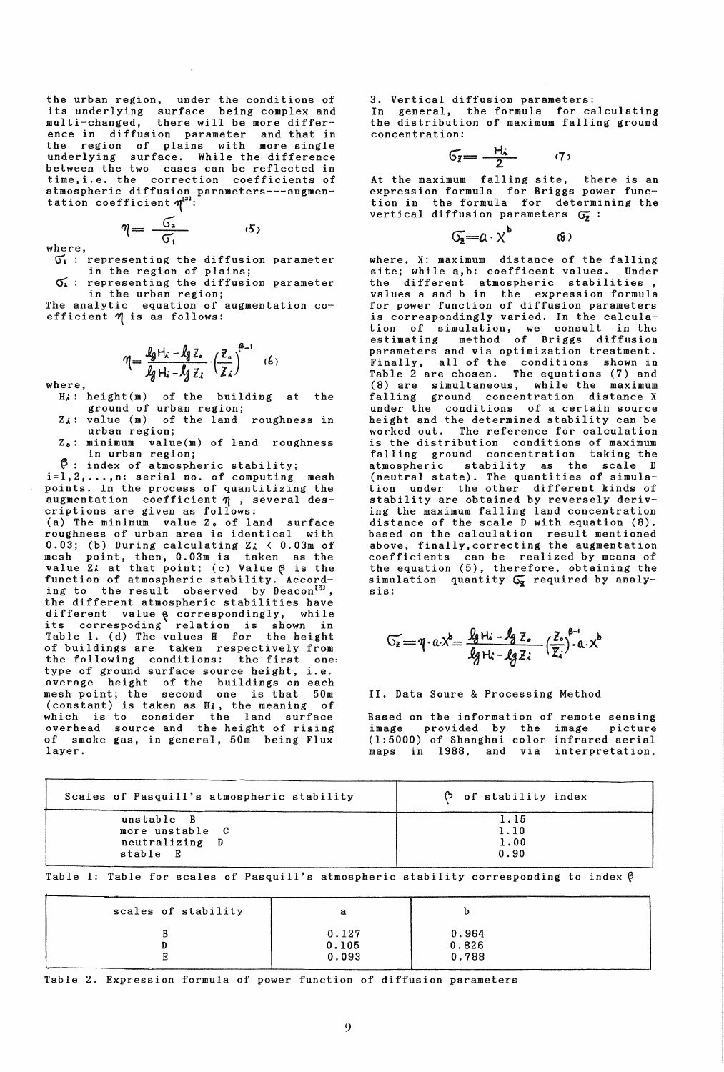the urban region, under the conditions of its underlying surface being complex and multi-changed, there will be more difference in diffusion parameter and that in the region of plains with more single underlying surface. While the difference between the two cases can be reflected in time,i.e. the correction coefficients of atmospheric diffusion parameters---augmentation coefficient  $\eta^{[2]}$ :

where,  $\eta = \frac{G_a}{G_1}$  $\sigma_i$ : representing the diffusion parameter

 $(5)$ 

in the region of plains; representing the diffusion parameter in the urban region;

The analytic equation of augmentation coefficient  $\eta$  is as follows:

$$
\eta = \frac{\int_{\mathcal{G}} H_x - \int_{\mathcal{G}} Z_x}{\int_{\mathcal{G}} H_x - \int_{\mathcal{G}} Z_x} \cdot \left(\frac{Z_x}{Z_x}\right)^{\theta - 1} \quad (6)
$$

where,

- $H_A$ : height(m) of the building at the ground of urban region;
- *Zl:* value (m) of the land roughness in urban region;
- Zo: minimum value(m) of land roughness in urban region;
- 

~: index of atmospheric stability; i=I,2, ... ,n: serial no. of computing mesh points. In the process of quantitizing the augmentation coefficient  $\eta$  , several descriptions are given as follows:

(a) The minimum value Zo of land surface roughness of urban area is identical with 0.03; (b) During calculating  $Z_{\lambda}$  < 0.03m of mesh point, then, 0.03m is taken as the value Z: at that point; (c) Value  $\beta$  is the function of atmospheric stability. Accord-<br>ing to the result observed by Deacon<sup>[3]</sup>, the different atmospheric stabilities have different value a correspondingly, while<br>its correspoding relation is shown in Table 1. (d) The values H for the height of buildings are taken respectively from the following conditions: the first one: type of ground surface source height, i.e. average height of the buildings on each mesh point; the second one is that 50m (constant) is taken as *Hi,* the meaning of which is to consider the land surface overhead source and the height of rising of smoke gas, in general, 50m being Flux layer.

3. Vertical diffusion parameters: In general, the formula for calculating the distribution of maximum falling ground concentration:

$$
6\overline{z} = \frac{H\omega}{2} \qquad (7)
$$

At the maximum falling site, there is an expression formula for Briggs power function in the formula for determining the vertical diffusion parameters  $G_{\overline{z}}$  :

 $\sigma_{\overline{2}}=a\cdot\chi^{\overline{b}}$  (8)

where, X: maximum distance of the falling site; while a,b: coefficent values. Under the different atmospheric stabilities, values a and b in the expression formula for power function of diffusion parameters is correspondingly varied. In the calculation of simulation, we consult in the estimating method of Briggs diffusion parameters and via optimization treatment. Finally, all of the conditions shown in Table 2 are chosen. The equations (7) and (8) are simultaneous, while the maximum falling ground concentration distance X under the conditions of a certain source height and the determined stability can be worked out. The reference for calculation is the distribution conditions of maximum falling ground concentration taking the atmospheric stability as the scale D (neutral state). The quantities of simulation under the other different kinds of stability are obtained by reversely deriving the maximum falling land concentration distance of the scale D with equation (8). based on the calculation result mentioned above, finally,correcting the augmentation coefficients can be realized by means of the equation (5), therefore, obtaining the simulation quantity  $G_{\bar{z}}$  required by analysis:

$$
\widetilde{C_2} = \eta \cdot a \cdot \chi^b = \frac{\int_{\mathcal{B}} H_i - \int_{\mathcal{B}} Z_o}{\int_{\mathcal{B}} H_i - \int_{\mathcal{B}} Z_i} \left(\frac{Z_o}{Z_i}\right)^{\beta - 1} a \cdot \chi^b
$$

II. Data Soure & Processing Method

Based on the information of remote sensing image provided by the image picture (1:5000) of Shanghai color infrared aerial maps in 1988, and via interpretation,

| Scales of Pasquill's atmospheric stability | $\beta$ of stability index |  |  |  |
|--------------------------------------------|----------------------------|--|--|--|
| unstable B                                 | 1.15                       |  |  |  |
| more unstable C                            | 1.10                       |  |  |  |
| neutralizing D                             | 1.00                       |  |  |  |
| stable E                                   | 0.90                       |  |  |  |

Table 1: Table for scales of Pasquill's atmospheric stability corresponding to index  $\beta$ 

| scales of stability | а                       |                         |  |
|---------------------|-------------------------|-------------------------|--|
|                     | 0.127<br>0.105<br>0.093 | 0.964<br>0.826<br>0.788 |  |

Table 2. Expression formula of power function of diffusion parameters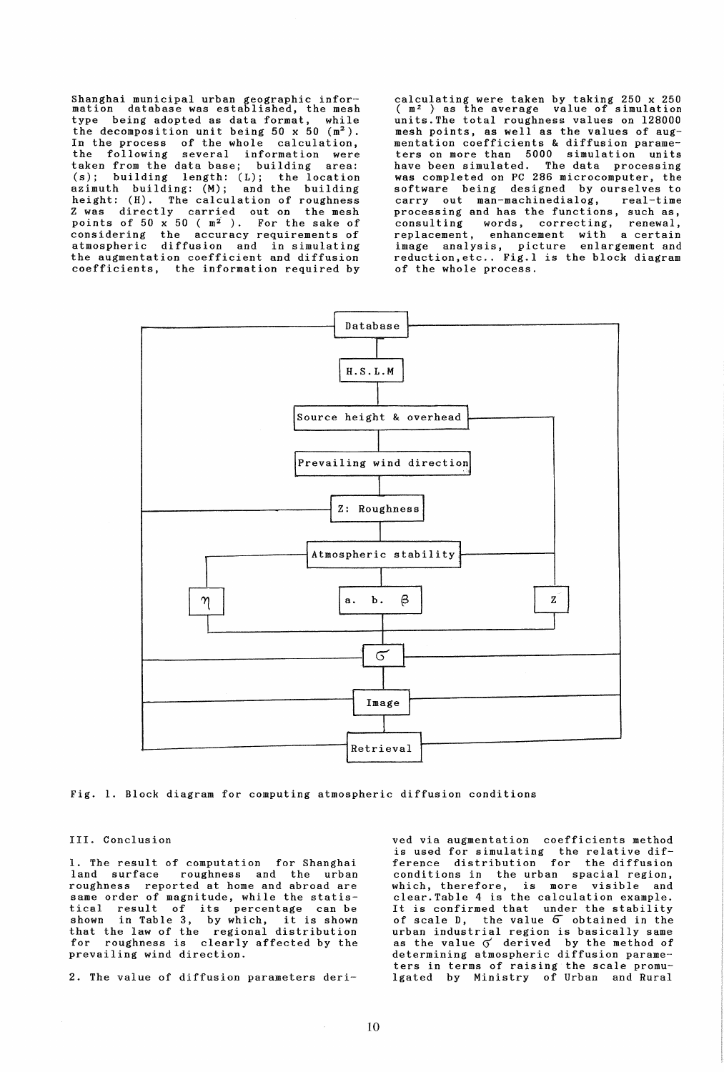Shanghai municipal urban geographic infor-mation database was established, the mesh type being adopted as data format, while the decomposition unit being 50  $x$  50  $(m<sup>2</sup>)$ . In the process of the whole calculation, the following several information were taken from the data base; building area:<br>(s); building length: (L); the location length:  $(L)$ ; the location<br>ng:  $(M)$ ; and the building azimuth building: (M);<br>height: (H). The calcul height: (H). The calculation of roughness<br>Z was directly carried out on the mesh  $\frac{1}{2}$  carried out on the mesh points of  $50 \times 50$  ( $m^2$ ). For the sake of considering the accuracy requirements of atmospheric diffusion and in simulating the augmentation coefficient and diffusion coefficients, the information required by

calculating were taken by taking 250 x 250 ( m2 ) as the average value of simulation units. The total roughness values on 128000 mesh points, as well as the values of augmentation coefficients & diffusion parameters on more than 5000 simulation units have been simulated. The data processing was completed on PC 286 microcomputer, the software being designed by ourselves to<br>carry out man-machinedialog, real-time carry out man-machinedialog, processing and has the functions, such as, consulting words, correcting, renewal, replacement, enhancement with a certain image analysis, picture enlargement and reduction,etc .. Fig.l is the block diagram of the whole process.



Fig. 1. Block diagram for computing atmospheric diffusion conditions

III. Conclusion

1. The result of computation for Shanghai<br>land surface roughness and the urban roughness and the urban roughness reported at home and abroad are same order of magnitude, while the statistical result of its percentage can be shown in Table 3, by which, it is shown that the law of the regional distribution for roughness is clearly affected by the prevailing wind direction.

2. The value of diffusion parameters deri-

ved via augmentation coefficients method is used for simulating the relative difference distribution for the diffusion conditions in the urban spacial region, is more visible and clear.Table 4 is the calculation example. It is confirmed that under the stability of scale D, the value 6 obtained in the urban industrial region is basically same as the value  $\sigma$  derived by the method of determining atmospheric diffusion parameters in terms of raising the scale promu-19ated by Ministry of Urban and Rural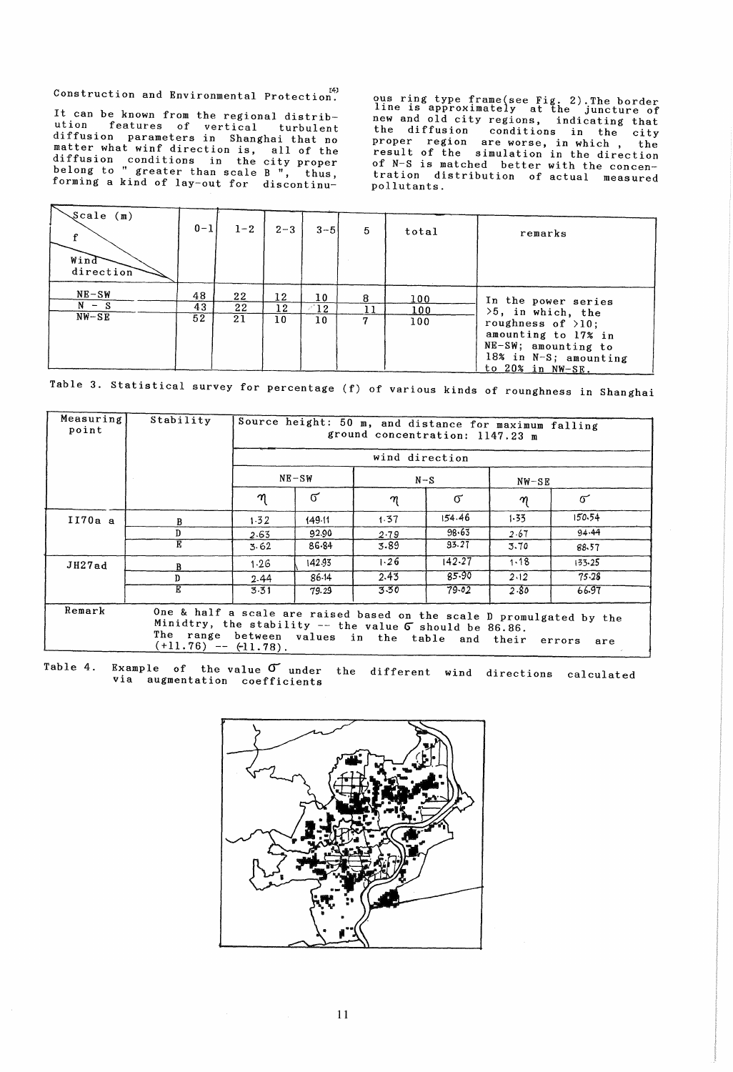Construction and Environmental Protection.

It can be known from the regional distribution features of vertical turbulent<br>diffusion parameters in Shanghai that no matter what winf direction is, all of the diffusion conditions in the city proper<br>belong to " greater than scale B ", thus, forming a kind of lay-out for discontinuous ring type frame(see Fig. 2). The border<br>line is approximately at the juncture of<br>new and old city regions, indicating that new and orderly regions, indicating that<br>the diffusion conditions in the city<br>proper region are worse, in which, the<br>result of the simulation in the direction of N-S is matched better with the concentration distribution of actual measured pollutants.

| $\sqrt{s}$ cale (m) |         |         |         |         |    |       |                                                                                                                          |
|---------------------|---------|---------|---------|---------|----|-------|--------------------------------------------------------------------------------------------------------------------------|
|                     | $0 - 1$ | $1 - 2$ | $2 - 3$ | $3 - 5$ | 5  | total | remarks                                                                                                                  |
| Wind<br>direction   |         |         |         |         |    |       |                                                                                                                          |
| $NE-SW$             | 48      | 22      | 12      | 10      | 8  | 100   | In the power series                                                                                                      |
| $N - S$             | 43      | 22      | 12      | 12      | 11 | 100   | $>5$ , in which, the                                                                                                     |
| $NW-SE$             | 52      | 21      | 10      | 10      | 17 | 100   | roughness of $>10$ ;<br>amounting to 17% in<br>$NE-SW$ ; amounting to<br>18% in N-S; amounting<br>to $20\%$ in $NW-SR$ . |

Table 3. Statistical survey for percentage (f) of various kinds of rounghness in Shanghai

| Measuring<br>point | Stability                                                                                                                                               | Source height: 50 m, and distance for maximum falling<br>ground concentration: 1147.23 m<br>wind direction |          |       |          |         |                                                                              |  |
|--------------------|---------------------------------------------------------------------------------------------------------------------------------------------------------|------------------------------------------------------------------------------------------------------------|----------|-------|----------|---------|------------------------------------------------------------------------------|--|
|                    |                                                                                                                                                         |                                                                                                            |          |       |          |         |                                                                              |  |
|                    |                                                                                                                                                         | $NE-SW$                                                                                                    |          | $N-S$ |          | $NW-SE$ |                                                                              |  |
|                    |                                                                                                                                                         | η                                                                                                          | $\sigma$ | η     | $\sigma$ | η       | $\sigma$                                                                     |  |
| $I170a$ a          | в                                                                                                                                                       | 1.32                                                                                                       | 149.11   | 1.37  | 154.46   | 1.33    | 150.54                                                                       |  |
|                    | D                                                                                                                                                       | 2.63                                                                                                       | 92.90    | 2.79  | 98.63    | 2.67    | 94.44                                                                        |  |
|                    | E                                                                                                                                                       | 3.62                                                                                                       | 86.84    | 3.89  | 93.27    | 3.70    | 88.57                                                                        |  |
| JH27ad             | В                                                                                                                                                       | 1.26                                                                                                       | 142.93   | 1.26  | 142.27   | 1.18    | 133.25                                                                       |  |
|                    | D                                                                                                                                                       | 2.44                                                                                                       | 86-14    | 2.43  | 85.90    | 2.12    | 75.28                                                                        |  |
|                    | E                                                                                                                                                       | 3.31                                                                                                       | 79.29    | 3.50  | 79.02    | 2.80    | 66.97                                                                        |  |
| Remark             | Minidtry, the stability $-$ the value $\sigma$ should be 86.86.<br>The range between values in the table and their errors<br>$(+11.76)$ -- $(+11.78)$ . |                                                                                                            |          |       |          |         | One & half a scale are raised based on the scale D promulgated by the<br>are |  |

Table 4. Example of the value  $\sigma$  under the different wind directions calculated via augmentation coefficients